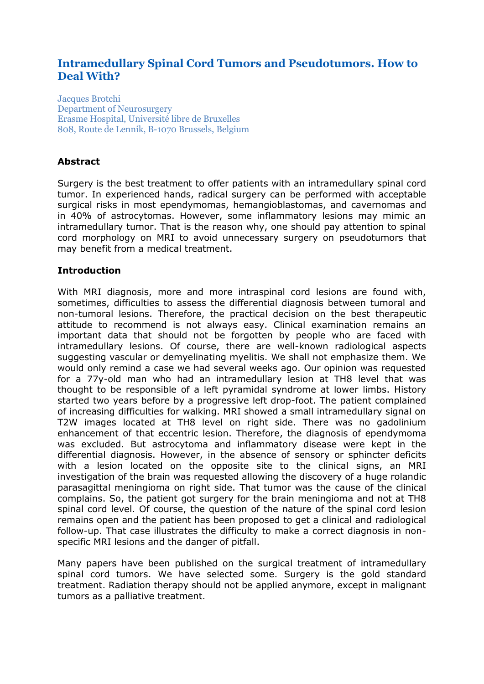# **Intramedullary Spinal Cord Tumors and Pseudotumors. How to Deal With?**

Jacques Brotchi Department of Neurosurgery Erasme Hospital, Université libre de Bruxelles 808, Route de Lennik, B-1070 Brussels, Belgium

## **Abstract**

Surgery is the best treatment to offer patients with an intramedullary spinal cord tumor. In experienced hands, radical surgery can be performed with acceptable surgical risks in most ependymomas, hemangioblastomas, and cavernomas and in 40% of astrocytomas. However, some inflammatory lesions may mimic an intramedullary tumor. That is the reason why, one should pay attention to spinal cord morphology on MRI to avoid unnecessary surgery on pseudotumors that may benefit from a medical treatment.

#### **Introduction**

With MRI diagnosis, more and more intraspinal cord lesions are found with, sometimes, difficulties to assess the differential diagnosis between tumoral and non-tumoral lesions. Therefore, the practical decision on the best therapeutic attitude to recommend is not always easy. Clinical examination remains an important data that should not be forgotten by people who are faced with intramedullary lesions. Of course, there are well-known radiological aspects suggesting vascular or demyelinating myelitis. We shall not emphasize them. We would only remind a case we had several weeks ago. Our opinion was requested for a 77y-old man who had an intramedullary lesion at TH8 level that was thought to be responsible of a left pyramidal syndrome at lower limbs. History started two years before by a progressive left drop-foot. The patient complained of increasing difficulties for walking. MRI showed a small intramedullary signal on T2W images located at TH8 level on right side. There was no gadolinium enhancement of that eccentric lesion. Therefore, the diagnosis of ependymoma was excluded. But astrocytoma and inflammatory disease were kept in the differential diagnosis. However, in the absence of sensory or sphincter deficits with a lesion located on the opposite site to the clinical signs, an MRI investigation of the brain was requested allowing the discovery of a huge rolandic parasagittal meningioma on right side. That tumor was the cause of the clinical complains. So, the patient got surgery for the brain meningioma and not at TH8 spinal cord level. Of course, the question of the nature of the spinal cord lesion remains open and the patient has been proposed to get a clinical and radiological follow-up. That case illustrates the difficulty to make a correct diagnosis in nonspecific MRI lesions and the danger of pitfall.

Many papers have been published on the surgical treatment of intramedullary spinal cord tumors. We have selected some. Surgery is the gold standard treatment. Radiation therapy should not be applied anymore, except in malignant tumors as a palliative treatment.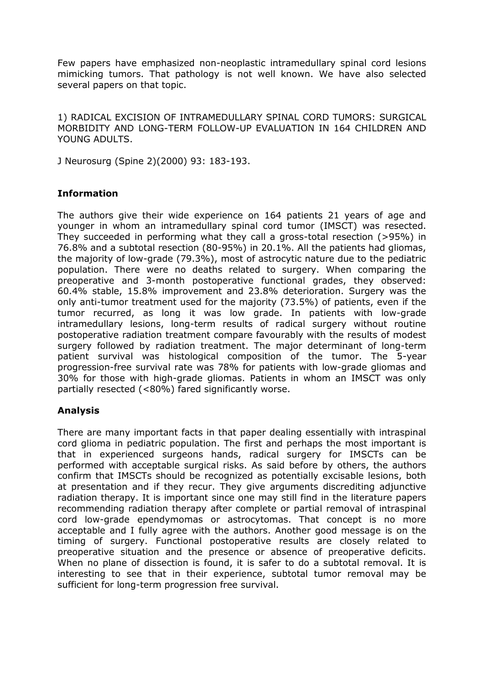Few papers have emphasized non-neoplastic intramedullary spinal cord lesions mimicking tumors. That pathology is not well known. We have also selected several papers on that topic.

1) RADICAL EXCISION OF INTRAMEDULLARY SPINAL CORD TUMORS: SURGICAL MORBIDITY AND LONG-TERM FOLLOW-UP EVALUATION IN 164 CHILDREN AND YOUNG ADULTS.

J Neurosurg (Spine 2)(2000) 93: 183-193.

## **Information**

The authors give their wide experience on 164 patients 21 years of age and younger in whom an intramedullary spinal cord tumor (IMSCT) was resected. They succeeded in performing what they call a gross-total resection (>95%) in 76.8% and a subtotal resection (80-95%) in 20.1%. All the patients had gliomas, the majority of low-grade (79.3%), most of astrocytic nature due to the pediatric population. There were no deaths related to surgery. When comparing the preoperative and 3-month postoperative functional grades, they observed: 60.4% stable, 15.8% improvement and 23.8% deterioration. Surgery was the only anti-tumor treatment used for the majority (73.5%) of patients, even if the tumor recurred, as long it was low grade. In patients with low-grade intramedullary lesions, long-term results of radical surgery without routine postoperative radiation treatment compare favourably with the results of modest surgery followed by radiation treatment. The major determinant of long-term patient survival was histological composition of the tumor. The 5-year progression-free survival rate was 78% for patients with low-grade gliomas and 30% for those with high-grade gliomas. Patients in whom an IMSCT was only partially resected (<80%) fared significantly worse.

### **Analysis**

There are many important facts in that paper dealing essentially with intraspinal cord glioma in pediatric population. The first and perhaps the most important is that in experienced surgeons hands, radical surgery for IMSCTs can be performed with acceptable surgical risks. As said before by others, the authors confirm that IMSCTs should be recognized as potentially excisable lesions, both at presentation and if they recur. They give arguments discrediting adjunctive radiation therapy. It is important since one may still find in the literature papers recommending radiation therapy after complete or partial removal of intraspinal cord low-grade ependymomas or astrocytomas. That concept is no more acceptable and I fully agree with the authors. Another good message is on the timing of surgery. Functional postoperative results are closely related to preoperative situation and the presence or absence of preoperative deficits. When no plane of dissection is found, it is safer to do a subtotal removal. It is interesting to see that in their experience, subtotal tumor removal may be sufficient for long-term progression free survival.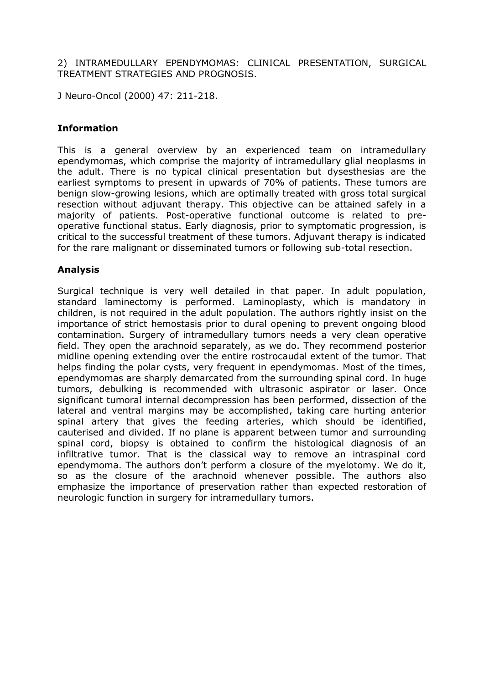2) INTRAMEDULLARY EPENDYMOMAS: CLINICAL PRESENTATION, SURGICAL TREATMENT STRATEGIES AND PROGNOSIS.

J Neuro-Oncol (2000) 47: 211-218.

### **Information**

This is a general overview by an experienced team on intramedullary ependymomas, which comprise the majority of intramedullary glial neoplasms in the adult. There is no typical clinical presentation but dysesthesias are the earliest symptoms to present in upwards of 70% of patients. These tumors are benign slow-growing lesions, which are optimally treated with gross total surgical resection without adjuvant therapy. This objective can be attained safely in a majority of patients. Post-operative functional outcome is related to preoperative functional status. Early diagnosis, prior to symptomatic progression, is critical to the successful treatment of these tumors. Adjuvant therapy is indicated for the rare malignant or disseminated tumors or following sub-total resection.

### **Analysis**

Surgical technique is very well detailed in that paper. In adult population, standard laminectomy is performed. Laminoplasty, which is mandatory in children, is not required in the adult population. The authors rightly insist on the importance of strict hemostasis prior to dural opening to prevent ongoing blood contamination. Surgery of intramedullary tumors needs a very clean operative field. They open the arachnoid separately, as we do. They recommend posterior midline opening extending over the entire rostrocaudal extent of the tumor. That helps finding the polar cysts, very frequent in ependymomas. Most of the times, ependymomas are sharply demarcated from the surrounding spinal cord. In huge tumors, debulking is recommended with ultrasonic aspirator or laser. Once significant tumoral internal decompression has been performed, dissection of the lateral and ventral margins may be accomplished, taking care hurting anterior spinal artery that gives the feeding arteries, which should be identified, cauterised and divided. If no plane is apparent between tumor and surrounding spinal cord, biopsy is obtained to confirm the histological diagnosis of an infiltrative tumor. That is the classical way to remove an intraspinal cord ependymoma. The authors don't perform a closure of the myelotomy. We do it, so as the closure of the arachnoid whenever possible. The authors also emphasize the importance of preservation rather than expected restoration of neurologic function in surgery for intramedullary tumors.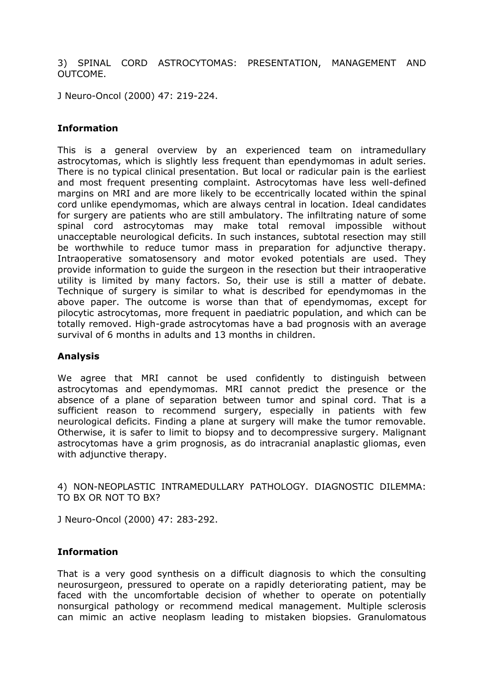3) SPINAL CORD ASTROCYTOMAS: PRESENTATION, MANAGEMENT AND OUTCOME.

J Neuro-Oncol (2000) 47: 219-224.

### **Information**

This is a general overview by an experienced team on intramedullary astrocytomas, which is slightly less frequent than ependymomas in adult series. There is no typical clinical presentation. But local or radicular pain is the earliest and most frequent presenting complaint. Astrocytomas have less well-defined margins on MRI and are more likely to be eccentrically located within the spinal cord unlike ependymomas, which are always central in location. Ideal candidates for surgery are patients who are still ambulatory. The infiltrating nature of some spinal cord astrocytomas may make total removal impossible without unacceptable neurological deficits. In such instances, subtotal resection may still be worthwhile to reduce tumor mass in preparation for adjunctive therapy. Intraoperative somatosensory and motor evoked potentials are used. They provide information to guide the surgeon in the resection but their intraoperative utility is limited by many factors. So, their use is still a matter of debate. Technique of surgery is similar to what is described for ependymomas in the above paper. The outcome is worse than that of ependymomas, except for pilocytic astrocytomas, more frequent in paediatric population, and which can be totally removed. High-grade astrocytomas have a bad prognosis with an average survival of 6 months in adults and 13 months in children.

### **Analysis**

We agree that MRI cannot be used confidently to distinguish between astrocytomas and ependymomas. MRI cannot predict the presence or the absence of a plane of separation between tumor and spinal cord. That is a sufficient reason to recommend surgery, especially in patients with few neurological deficits. Finding a plane at surgery will make the tumor removable. Otherwise, it is safer to limit to biopsy and to decompressive surgery. Malignant astrocytomas have a grim prognosis, as do intracranial anaplastic gliomas, even with adjunctive therapy.

4) NON-NEOPLASTIC INTRAMEDULLARY PATHOLOGY. DIAGNOSTIC DILEMMA: TO BX OR NOT TO BX?

J Neuro-Oncol (2000) 47: 283-292.

### **Information**

That is a very good synthesis on a difficult diagnosis to which the consulting neurosurgeon, pressured to operate on a rapidly deteriorating patient, may be faced with the uncomfortable decision of whether to operate on potentially nonsurgical pathology or recommend medical management. Multiple sclerosis can mimic an active neoplasm leading to mistaken biopsies. Granulomatous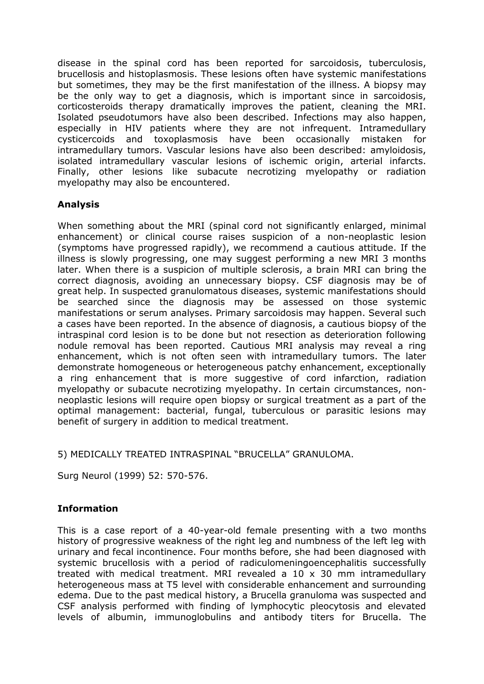disease in the spinal cord has been reported for sarcoidosis, tuberculosis, brucellosis and histoplasmosis. These lesions often have systemic manifestations but sometimes, they may be the first manifestation of the illness. A biopsy may be the only way to get a diagnosis, which is important since in sarcoidosis, corticosteroids therapy dramatically improves the patient, cleaning the MRI. Isolated pseudotumors have also been described. Infections may also happen, especially in HIV patients where they are not infrequent. Intramedullary cysticercoids and toxoplasmosis have been occasionally mistaken for intramedullary tumors. Vascular lesions have also been described: amyloidosis, isolated intramedullary vascular lesions of ischemic origin, arterial infarcts. Finally, other lesions like subacute necrotizing myelopathy or radiation myelopathy may also be encountered.

### **Analysis**

When something about the MRI (spinal cord not significantly enlarged, minimal enhancement) or clinical course raises suspicion of a non-neoplastic lesion (symptoms have progressed rapidly), we recommend a cautious attitude. If the illness is slowly progressing, one may suggest performing a new MRI 3 months later. When there is a suspicion of multiple sclerosis, a brain MRI can bring the correct diagnosis, avoiding an unnecessary biopsy. CSF diagnosis may be of great help. In suspected granulomatous diseases, systemic manifestations should be searched since the diagnosis may be assessed on those systemic manifestations or serum analyses. Primary sarcoidosis may happen. Several such a cases have been reported. In the absence of diagnosis, a cautious biopsy of the intraspinal cord lesion is to be done but not resection as deterioration following nodule removal has been reported. Cautious MRI analysis may reveal a ring enhancement, which is not often seen with intramedullary tumors. The later demonstrate homogeneous or heterogeneous patchy enhancement, exceptionally a ring enhancement that is more suggestive of cord infarction, radiation myelopathy or subacute necrotizing myelopathy. In certain circumstances, nonneoplastic lesions will require open biopsy or surgical treatment as a part of the optimal management: bacterial, fungal, tuberculous or parasitic lesions may benefit of surgery in addition to medical treatment.

### 5) MEDICALLY TREATED INTRASPINAL "BRUCELLA" GRANULOMA.

Surg Neurol (1999) 52: 570-576.

### **Information**

This is a case report of a 40-year-old female presenting with a two months history of progressive weakness of the right leg and numbness of the left leg with urinary and fecal incontinence. Four months before, she had been diagnosed with systemic brucellosis with a period of radiculomeningoencephalitis successfully treated with medical treatment. MRI revealed a 10 x 30 mm intramedullary heterogeneous mass at T5 level with considerable enhancement and surrounding edema. Due to the past medical history, a Brucella granuloma was suspected and CSF analysis performed with finding of lymphocytic pleocytosis and elevated levels of albumin, immunoglobulins and antibody titers for Brucella. The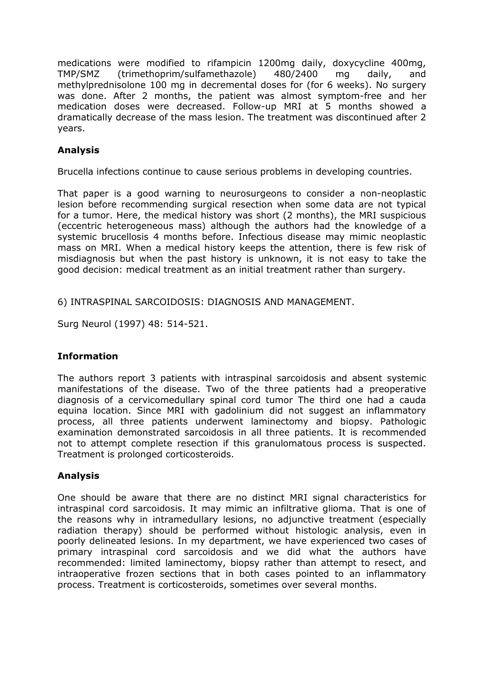medications were modified to rifampicin 1200mg daily, doxycycline 400mg, TMP/SMZ (trimethoprim/sulfamethazole) 480/2400 mg daily, and methylprednisolone 100 mg in decremental doses for (for 6 weeks). No surgery was done. After 2 months, the patient was almost symptom-free and her medication doses were decreased. Follow-up MRI at 5 months showed a dramatically decrease of the mass lesion. The treatment was discontinued after 2 years.

## **Analysis**

Brucella infections continue to cause serious problems in developing countries.

That paper is a good warning to neurosurgeons to consider a non-neoplastic lesion before recommending surgical resection when some data are not typical for a tumor. Here, the medical history was short (2 months), the MRI suspicious (eccentric heterogeneous mass) although the authors had the knowledge of a systemic brucellosis 4 months before. Infectious disease may mimic neoplastic mass on MRI. When a medical history keeps the attention, there is few risk of misdiagnosis but when the past history is unknown, it is not easy to take the good decision: medical treatment as an initial treatment rather than surgery.

6) INTRASPINAL SARCOIDOSIS: DIAGNOSIS AND MANAGEMENT.

Surg Neurol (1997) 48: 514-521.

### **Information**

The authors report 3 patients with intraspinal sarcoidosis and absent systemic manifestations of the disease. Two of the three patients had a preoperative diagnosis of a cervicomedullary spinal cord tumor The third one had a cauda equina location. Since MRI with gadolinium did not suggest an inflammatory process, all three patients underwent laminectomy and biopsy. Pathologic examination demonstrated sarcoidosis in all three patients. It is recommended not to attempt complete resection if this granulomatous process is suspected. Treatment is prolonged corticosteroids.

### **Analysis**

One should be aware that there are no distinct MRI signal characteristics for intraspinal cord sarcoidosis. It may mimic an infiltrative glioma. That is one of the reasons why in intramedullary lesions, no adjunctive treatment (especially radiation therapy) should be performed without histologic analysis, even in poorly delineated lesions. In my department, we have experienced two cases of primary intraspinal cord sarcoidosis and we did what the authors have recommended: limited laminectomy, biopsy rather than attempt to resect, and intraoperative frozen sections that in both cases pointed to an inflammatory process. Treatment is corticosteroids, sometimes over several months.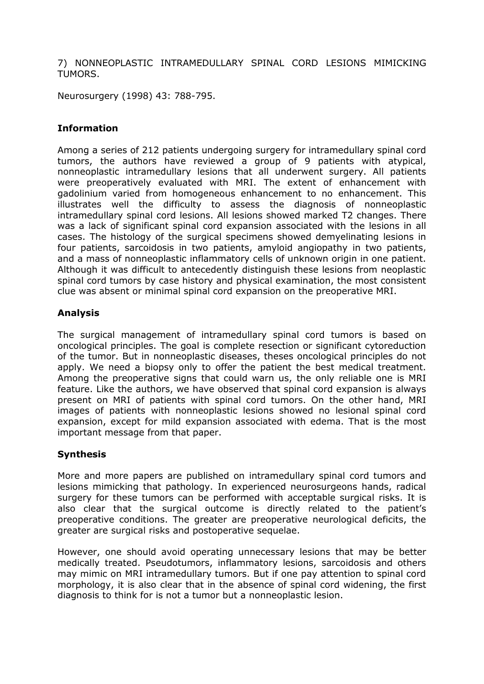7) NONNEOPLASTIC INTRAMEDULLARY SPINAL CORD LESIONS MIMICKING TUMORS.

Neurosurgery (1998) 43: 788-795.

### **Information**

Among a series of 212 patients undergoing surgery for intramedullary spinal cord tumors, the authors have reviewed a group of 9 patients with atypical, nonneoplastic intramedullary lesions that all underwent surgery. All patients were preoperatively evaluated with MRI. The extent of enhancement with gadolinium varied from homogeneous enhancement to no enhancement. This illustrates well the difficulty to assess the diagnosis of nonneoplastic intramedullary spinal cord lesions. All lesions showed marked T2 changes. There was a lack of significant spinal cord expansion associated with the lesions in all cases. The histology of the surgical specimens showed demyelinating lesions in four patients, sarcoidosis in two patients, amyloid angiopathy in two patients, and a mass of nonneoplastic inflammatory cells of unknown origin in one patient. Although it was difficult to antecedently distinguish these lesions from neoplastic spinal cord tumors by case history and physical examination, the most consistent clue was absent or minimal spinal cord expansion on the preoperative MRI.

### **Analysis**

The surgical management of intramedullary spinal cord tumors is based on oncological principles. The goal is complete resection or significant cytoreduction of the tumor. But in nonneoplastic diseases, theses oncological principles do not apply. We need a biopsy only to offer the patient the best medical treatment. Among the preoperative signs that could warn us, the only reliable one is MRI feature. Like the authors, we have observed that spinal cord expansion is always present on MRI of patients with spinal cord tumors. On the other hand, MRI images of patients with nonneoplastic lesions showed no lesional spinal cord expansion, except for mild expansion associated with edema. That is the most important message from that paper.

### **Synthesis**

More and more papers are published on intramedullary spinal cord tumors and lesions mimicking that pathology. In experienced neurosurgeons hands, radical surgery for these tumors can be performed with acceptable surgical risks. It is also clear that the surgical outcome is directly related to the patient's preoperative conditions. The greater are preoperative neurological deficits, the greater are surgical risks and postoperative sequelae.

However, one should avoid operating unnecessary lesions that may be better medically treated. Pseudotumors, inflammatory lesions, sarcoidosis and others may mimic on MRI intramedullary tumors. But if one pay attention to spinal cord morphology, it is also clear that in the absence of spinal cord widening, the first diagnosis to think for is not a tumor but a nonneoplastic lesion.